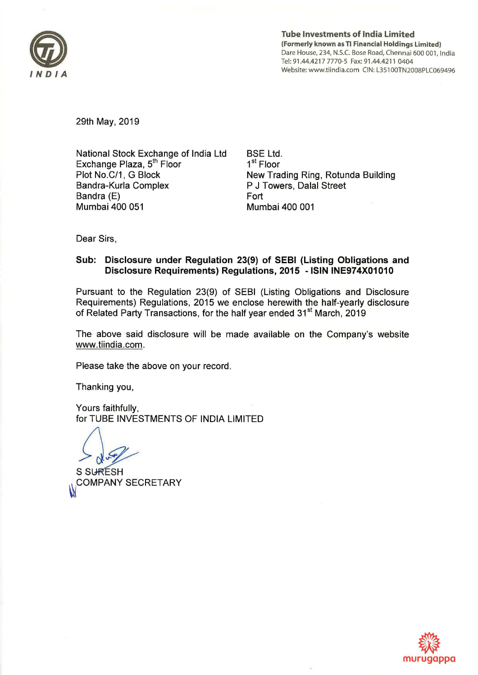

Tube Investments of India Limited (Formerly known as Tl Financial Holdings Limited) Dare House, 234, N.S.C. Bose Road, Chennai 600 001, India Tel: 91.44.4217 7770-5 Fax: 91.44.4211 0404 Website: www.tiindia.com CIN: L351 OOTN2008PLC069496

29th May, 2019

National Stock Exchange of India Ltd Exchange Plaza, 5<sup>th</sup> Floor Plot No.C/1, G Block Bandra-Kurla Complex Sandra (E) Mumbai 400 051

BSE Ltd. 1<sup>st</sup> Floor New Trading Ring, Rotunda Building P J Towers, Dalal Street Fort Mumbai 400 001

Dear Sirs,

# Sub: Disclosure under Regulation 23(9) of SEBI (Listing Obligations and Disclosure Requirements) Regulations, 2015 -ISIN INE974X01010

Pursuant to the Regulation 23(9) of SEBI (Listing Obligations and Disclosure Requirements) Regulations, 2015 we enclose herewith the half-yearly disclosure of Related Party Transactions, for the half year ended 31<sup>st</sup> March, 2019

The above said disclosure will be made available on the Company's website www.tiindia.com.

Please take the above on your record.

Thanking you,

Yours faithfully, for TUBE INVESTMENTS OF INDIA LIMITED

S SURÉSH<br>COMPANY SECRETARY

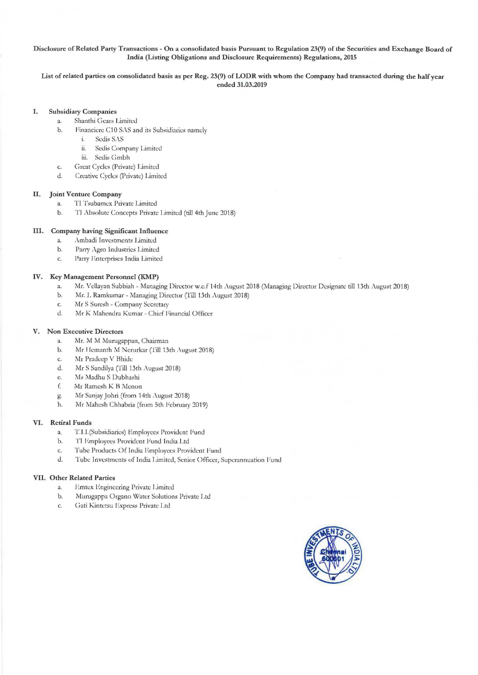#### Disclosure of Related Party Transactions - On a consolidated basis Pursuant to Regulation 23(9) of the Securities and Exchange Board of India (Listing Obligations and Disclosure Requirements) Regulations, 2015

List of related parties on consolidated basis as per Reg. 23(9) of LODR with whom the Company had transacted during the half year ended 31.03.2019

## I. Subsidiary Companies

- a. Shanthi Gears Limited
- b. Financiere C10 SAS and its Subsidiaries namely
	- i. Sedis SAS
	- ii. Sedis Company Limited
	- iii. Sedis Gmbh
- c. Great Cycles (Private) Limited
- d. Creative Cycles (Private) Limited

#### II. Joint Venture Company

- a. TI Tsubamex Private Limited
- b. TI Absolute Concepts Private Limited (till 4th June 2018)

### Ill. Company having Significant Influence

- a. Ambadi Investments Limited
- b. Parry Agro Industries Limited
- c. Parry Enterprises India Limited

### IV. Key Management Personnel (KMP)

- a. Mr. Vellayan Subbiah Managing Director w.c.f 14th August 2018 (Managing Director Designate till 13th August 2018)
- b. Mr. J. Ramkumar Managing Director (Till 13th August 2018)
- c. Mr S Suresh Company Secretary
- d. Mr K Mahendra Kumar Chief Financial Officer

### V. Non Executive Directors

- a. Mr. M M Murugappan, Chairman
- b. Mr Hemanth M Nerurkar (Till 13th August 2018)
- c. Mr Pradecp V Bhide
- d. Mr S Sandilya (Till 13th August 2018)
- c. Ms Madhu S Dubhashi
- f. Mr Ramesh K B Menon
- g. Mr Sanjay Johri (from 14th ,\ugust 2018)
- h. Mr Mahesh Chhabria (from 5th February 2019)

### VI. Retiral Funds

- a. T.l.l.(Subsidiaries) Employees Provident Fund
- b. TJ Employees Provident Fund India Ltd
- c. Tube Products Of India Employees Provident Fund
- d. Tube Investments of India Limited, Senior Officer, Superannuation Fund

## VII. Other Related Parties

- a. I Imtex Engineering Private Limited
- b. Murugappa Organo Water Solutions Private I .td
- c. Gati Kintetsu Express Private Ltd